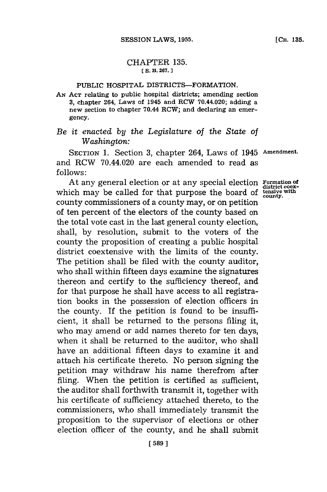## CHAPTER **135.** *[* **S. B. 267.**

## **PUBLIC HOSPITAL DISTRICTS-FORMATION.**

*AN* **AcT relating to public hospital districts; amending section 3, chapter 264, Laws of 1945 and. RCW 70.44.020; adding a new section to chapter 70.44 RCW; and declaring an emergency.**

## *Be it enacted by the Legislature of the State of Washington:*

**SECTION 1.** Section **3,** chapter 264, Laws of 1945 **Amendment.** and RCW 70.44.020 are each amended to read as **f ollows:**

At any general election or at any special election **Formation of**<br>which may be called for that purpose the board of **tensive** with county commissioners of a county may, or on petition of ten percent of the electors of the county based on the total vote cast in the last general county election, shall, **by** resolution, submit to the voters of the county the proposition of creating a public hospital district coextensive with the limits of the county. The petition shall be filed with the county auditor, who shall within fifteen days examine the signatures thereon and certify to the sufficiency thereof, and for that purpose he shall have access to all registration books in the possession of election officers in the county. If the petition is found to be insufficient, it shall be returned to the persons filing it, who may amend or add names thereto for ten days, when it shall be returned to the auditor, who shall have an additional fifteen days to examine it and attach his certificate thereto. No person signing the petition may withdraw his name therefrom after filing. When the petition is certified as sufficient, the auditor shall forthwith transmit it, together with his certificate of sufficiency attached thereto, to the commissioners, who shall immediately transmit the proposition to the supervisor of elections or other election officer of the county, and he shall submit